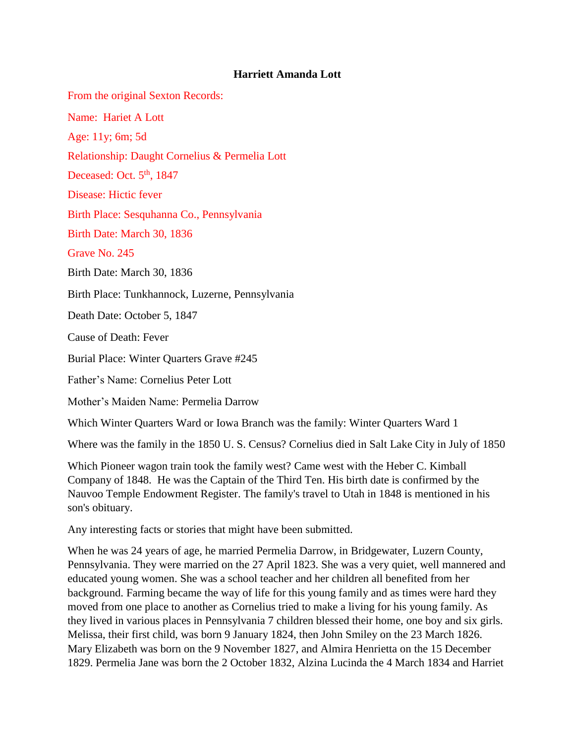## **Harriett Amanda Lott**

From the original Sexton Records:

Name: Hariet A Lott

Age: 11y; 6m; 5d

Relationship: Daught Cornelius & Permelia Lott

Deceased: Oct.  $5<sup>th</sup>$ , 1847

Disease: Hictic fever

Birth Place: Sesquhanna Co., Pennsylvania

Birth Date: March 30, 1836

Grave No. 245

Birth Date: March 30, 1836

Birth Place: Tunkhannock, Luzerne, Pennsylvania

Death Date: October 5, 1847

Cause of Death: Fever

Burial Place: Winter Quarters Grave #245

Father's Name: Cornelius Peter Lott

Mother's Maiden Name: Permelia Darrow

Which Winter Quarters Ward or Iowa Branch was the family: Winter Quarters Ward 1

Where was the family in the 1850 U. S. Census? Cornelius died in Salt Lake City in July of 1850

Which Pioneer wagon train took the family west? Came west with the Heber C. Kimball Company of 1848. He was the Captain of the Third Ten. His birth date is confirmed by the Nauvoo Temple Endowment Register. The family's travel to Utah in 1848 is mentioned in his son's obituary.

Any interesting facts or stories that might have been submitted.

When he was 24 years of age, he married Permelia Darrow, in Bridgewater, Luzern County, Pennsylvania. They were married on the 27 April 1823. She was a very quiet, well mannered and educated young women. She was a school teacher and her children all benefited from her background. Farming became the way of life for this young family and as times were hard they moved from one place to another as Cornelius tried to make a living for his young family. As they lived in various places in Pennsylvania 7 children blessed their home, one boy and six girls. Melissa, their first child, was born 9 January 1824, then John Smiley on the 23 March 1826. Mary Elizabeth was born on the 9 November 1827, and Almira Henrietta on the 15 December 1829. Permelia Jane was born the 2 October 1832, Alzina Lucinda the 4 March 1834 and Harriet